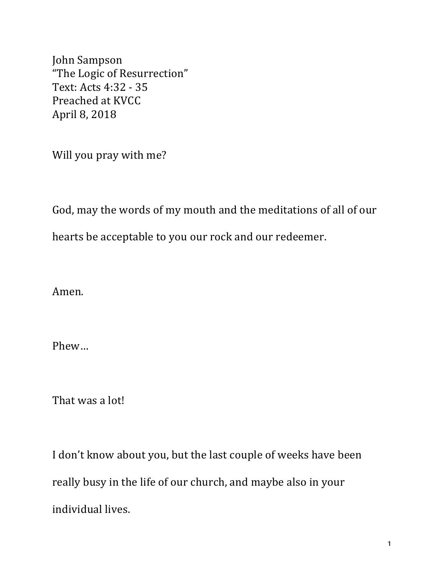John Sampson "The Logic of Resurrection" Text: Acts 4:32 - 35 Preached at KVCC April 8, 2018

Will you pray with me?

God, may the words of my mouth and the meditations of all of our

hearts be acceptable to you our rock and our redeemer.

Amen.

Phew…

That was a lot!

I don't know about you, but the last couple of weeks have been really busy in the life of our church, and maybe also in your individual lives.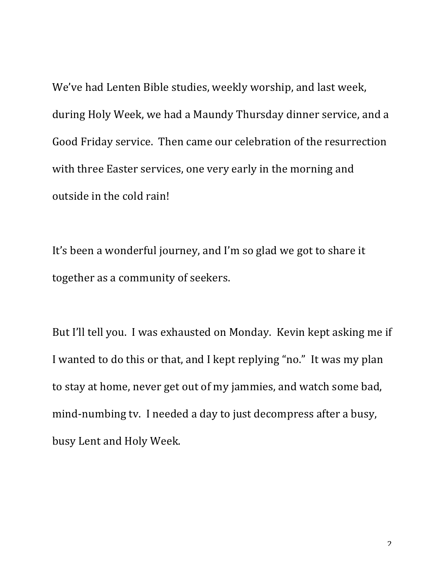We've had Lenten Bible studies, weekly worship, and last week, during Holy Week, we had a Maundy Thursday dinner service, and a Good Friday service. Then came our celebration of the resurrection with three Easter services, one very early in the morning and outside in the cold rain!

It's been a wonderful journey, and I'm so glad we got to share it together as a community of seekers.

But I'll tell you. I was exhausted on Monday. Kevin kept asking me if I wanted to do this or that, and I kept replying "no." It was my plan to stay at home, never get out of my jammies, and watch some bad, mind-numbing tv. I needed a day to just decompress after a busy, busy Lent and Holy Week.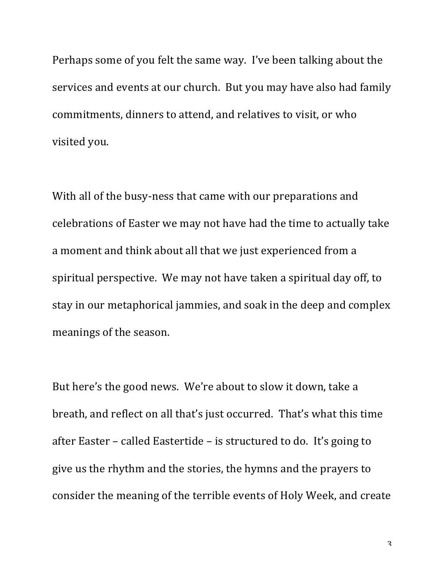Perhaps some of you felt the same way. I've been talking about the services and events at our church. But you may have also had family commitments, dinners to attend, and relatives to visit, or who visited you.

With all of the busy-ness that came with our preparations and celebrations of Easter we may not have had the time to actually take a moment and think about all that we just experienced from a spiritual perspective. We may not have taken a spiritual day off, to stay in our metaphorical jammies, and soak in the deep and complex meanings of the season.

But here's the good news. We're about to slow it down, take a breath, and reflect on all that's just occurred. That's what this time after Easter – called Eastertide – is structured to do. It's going to give us the rhythm and the stories, the hymns and the prayers to consider the meaning of the terrible events of Holy Week, and create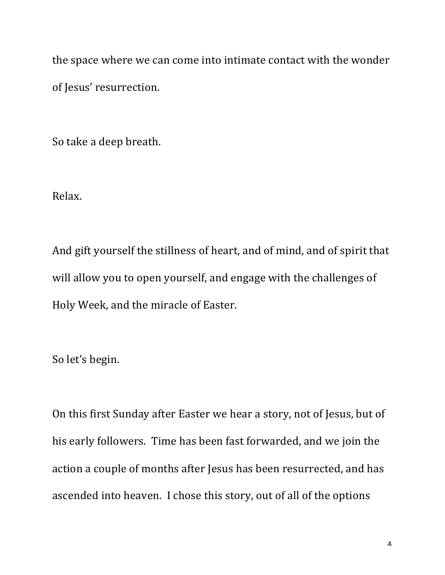the space where we can come into intimate contact with the wonder of Jesus' resurrection.

So take a deep breath.

Relax.

And gift yourself the stillness of heart, and of mind, and of spirit that will allow you to open yourself, and engage with the challenges of Holy Week, and the miracle of Easter.

So let's begin.

On this first Sunday after Easter we hear a story, not of Jesus, but of his early followers. Time has been fast forwarded, and we join the action a couple of months after Jesus has been resurrected, and has ascended into heaven. I chose this story, out of all of the options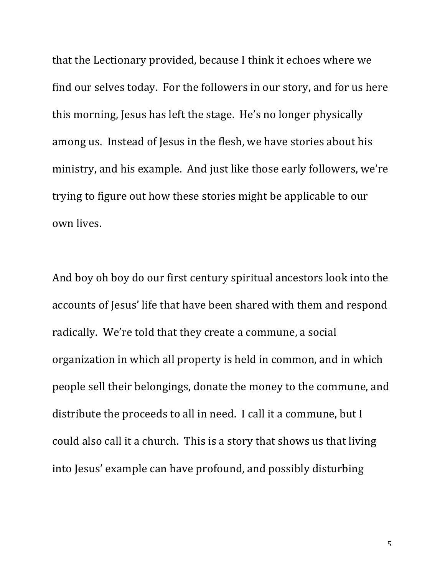that the Lectionary provided, because I think it echoes where we find our selves today. For the followers in our story, and for us here this morning, Jesus has left the stage. He's no longer physically among us. Instead of Jesus in the flesh, we have stories about his ministry, and his example. And just like those early followers, we're trying to figure out how these stories might be applicable to our own lives.

And boy oh boy do our first century spiritual ancestors look into the accounts of Jesus' life that have been shared with them and respond radically. We're told that they create a commune, a social organization in which all property is held in common, and in which people sell their belongings, donate the money to the commune, and distribute the proceeds to all in need. I call it a commune, but I could also call it a church. This is a story that shows us that living into Jesus' example can have profound, and possibly disturbing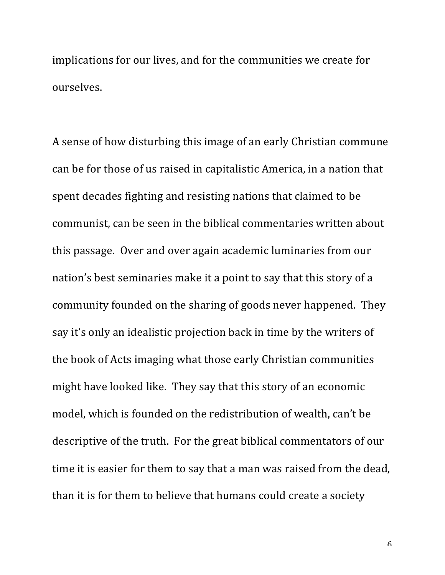implications for our lives, and for the communities we create for ourselves. 

A sense of how disturbing this image of an early Christian commune can be for those of us raised in capitalistic America, in a nation that spent decades fighting and resisting nations that claimed to be communist, can be seen in the biblical commentaries written about this passage. Over and over again academic luminaries from our nation's best seminaries make it a point to say that this story of a community founded on the sharing of goods never happened. They say it's only an idealistic projection back in time by the writers of the book of Acts imaging what those early Christian communities might have looked like. They say that this story of an economic model, which is founded on the redistribution of wealth, can't be descriptive of the truth. For the great biblical commentators of our time it is easier for them to say that a man was raised from the dead, than it is for them to believe that humans could create a society

6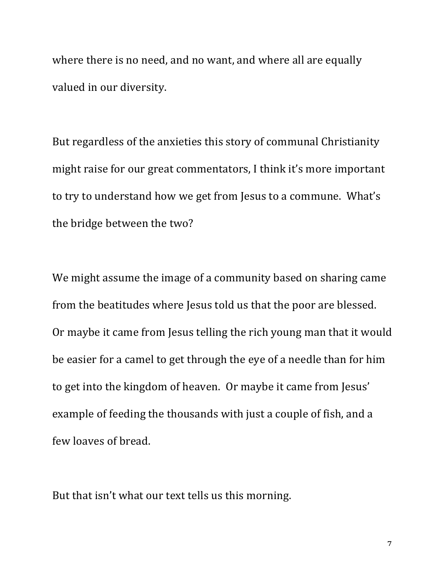where there is no need, and no want, and where all are equally valued in our diversity.

But regardless of the anxieties this story of communal Christianity might raise for our great commentators, I think it's more important to try to understand how we get from Jesus to a commune. What's the bridge between the two?

We might assume the image of a community based on sharing came from the beatitudes where Jesus told us that the poor are blessed. Or maybe it came from Jesus telling the rich young man that it would be easier for a camel to get through the eye of a needle than for him to get into the kingdom of heaven. Or maybe it came from Jesus' example of feeding the thousands with just a couple of fish, and a few loaves of bread.

But that isn't what our text tells us this morning.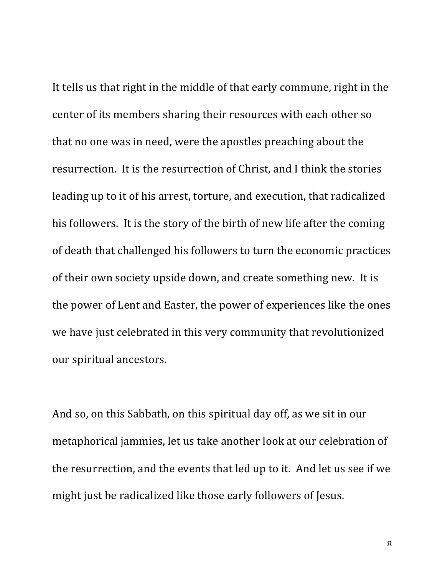It tells us that right in the middle of that early commune, right in the center of its members sharing their resources with each other so that no one was in need, were the apostles preaching about the resurrection. It is the resurrection of Christ, and I think the stories leading up to it of his arrest, torture, and execution, that radicalized his followers. It is the story of the birth of new life after the coming of death that challenged his followers to turn the economic practices of their own society upside down, and create something new. It is the power of Lent and Easter, the power of experiences like the ones we have just celebrated in this very community that revolutionized our spiritual ancestors.

And so, on this Sabbath, on this spiritual day off, as we sit in our metaphorical jammies, let us take another look at our celebration of the resurrection, and the events that led up to it. And let us see if we might just be radicalized like those early followers of Jesus.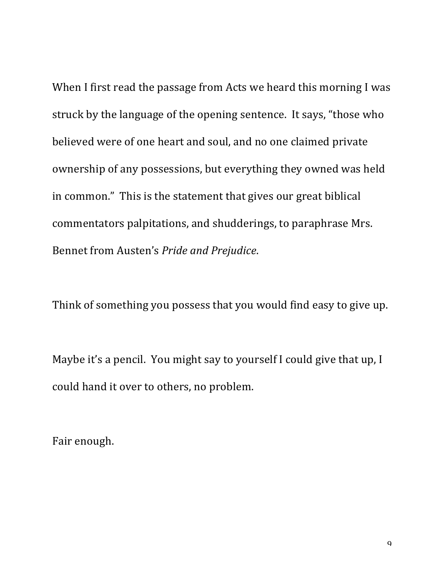When I first read the passage from Acts we heard this morning I was struck by the language of the opening sentence. It says, "those who believed were of one heart and soul, and no one claimed private ownership of any possessions, but everything they owned was held in common." This is the statement that gives our great biblical commentators palpitations, and shudderings, to paraphrase Mrs. Bennet from Austen's Pride and Prejudice.

Think of something you possess that you would find easy to give up.

Maybe it's a pencil. You might say to yourself I could give that up, I could hand it over to others, no problem.

Fair enough.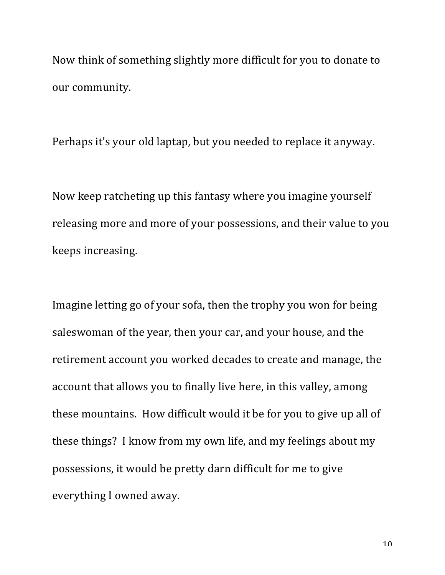Now think of something slightly more difficult for you to donate to our community.

Perhaps it's your old laptap, but you needed to replace it anyway.

Now keep ratcheting up this fantasy where you imagine yourself releasing more and more of your possessions, and their value to you keeps increasing.

Imagine letting go of your sofa, then the trophy you won for being saleswoman of the year, then your car, and your house, and the retirement account you worked decades to create and manage, the account that allows you to finally live here, in this valley, among these mountains. How difficult would it be for you to give up all of these things? I know from my own life, and my feelings about my possessions, it would be pretty darn difficult for me to give everything I owned away.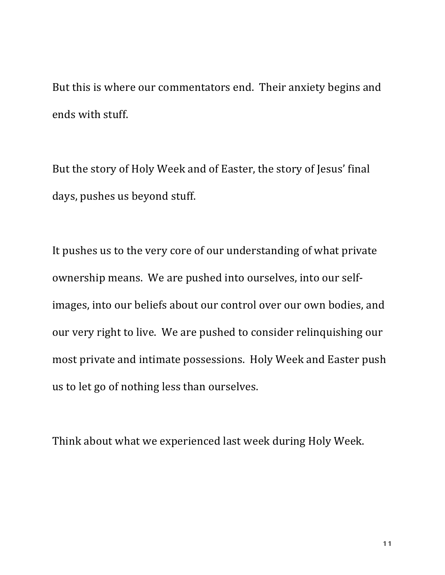But this is where our commentators end. Their anxiety begins and ends with stuff.

But the story of Holy Week and of Easter, the story of Jesus' final days, pushes us beyond stuff.

It pushes us to the very core of our understanding of what private ownership means. We are pushed into ourselves, into our selfimages, into our beliefs about our control over our own bodies, and our very right to live. We are pushed to consider relinquishing our most private and intimate possessions. Holy Week and Easter push us to let go of nothing less than ourselves.

Think about what we experienced last week during Holy Week.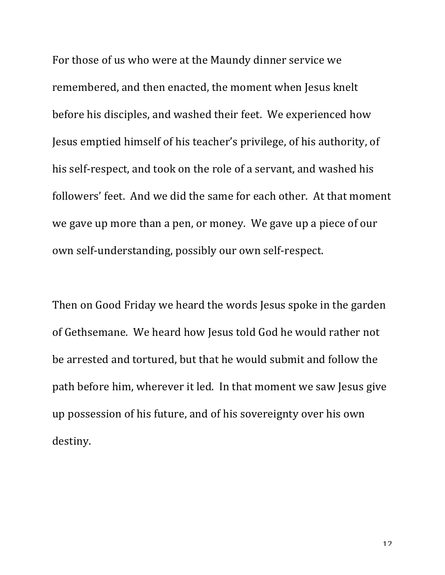For those of us who were at the Maundy dinner service we remembered, and then enacted, the moment when Jesus knelt before his disciples, and washed their feet. We experienced how Jesus emptied himself of his teacher's privilege, of his authority, of his self-respect, and took on the role of a servant, and washed his followers' feet. And we did the same for each other. At that moment we gave up more than a pen, or money. We gave up a piece of our own self-understanding, possibly our own self-respect.

Then on Good Friday we heard the words Jesus spoke in the garden of Gethsemane. We heard how Jesus told God he would rather not be arrested and tortured, but that he would submit and follow the path before him, wherever it led. In that moment we saw Jesus give up possession of his future, and of his sovereignty over his own destiny.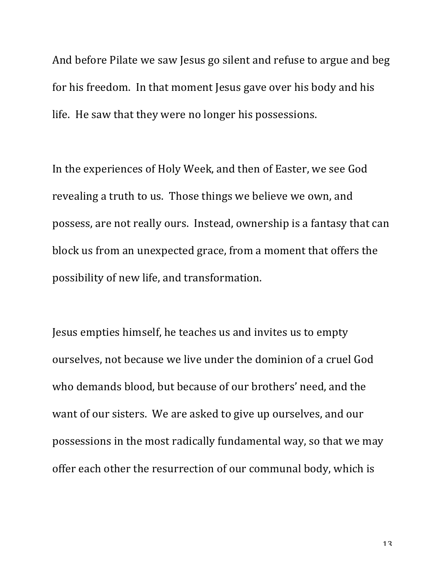And before Pilate we saw Jesus go silent and refuse to argue and beg for his freedom. In that moment Jesus gave over his body and his life. He saw that they were no longer his possessions.

In the experiences of Holy Week, and then of Easter, we see God revealing a truth to us. Those things we believe we own, and possess, are not really ours. Instead, ownership is a fantasy that can block us from an unexpected grace, from a moment that offers the possibility of new life, and transformation.

Jesus empties himself, he teaches us and invites us to empty ourselves, not because we live under the dominion of a cruel God who demands blood, but because of our brothers' need, and the want of our sisters. We are asked to give up ourselves, and our possessions in the most radically fundamental way, so that we may offer each other the resurrection of our communal body, which is

13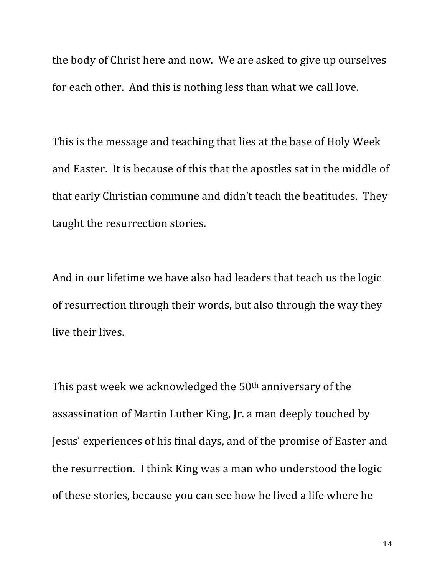the body of Christ here and now. We are asked to give up ourselves for each other. And this is nothing less than what we call love.

This is the message and teaching that lies at the base of Holy Week and Easter. It is because of this that the apostles sat in the middle of that early Christian commune and didn't teach the beatitudes. They taught the resurrection stories.

And in our lifetime we have also had leaders that teach us the logic of resurrection through their words, but also through the way they live their lives.

This past week we acknowledged the  $50<sup>th</sup>$  anniversary of the assassination of Martin Luther King, Jr. a man deeply touched by Jesus' experiences of his final days, and of the promise of Easter and the resurrection. I think King was a man who understood the logic of these stories, because you can see how he lived a life where he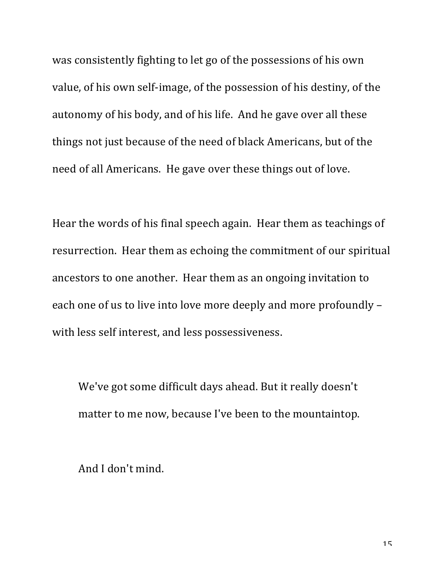was consistently fighting to let go of the possessions of his own value, of his own self-image, of the possession of his destiny, of the autonomy of his body, and of his life. And he gave over all these things not just because of the need of black Americans, but of the need of all Americans. He gave over these things out of love.

Hear the words of his final speech again. Hear them as teachings of resurrection. Hear them as echoing the commitment of our spiritual ancestors to one another. Hear them as an ongoing invitation to each one of us to live into love more deeply and more profoundly with less self interest, and less possessiveness.

We've got some difficult days ahead. But it really doesn't matter to me now, because I've been to the mountaintop.

And I don't mind.